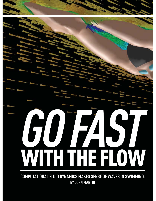# **GO FAST** WITH THE FLOW

**COMPUTATIONAL FLUID DYNAMICS MAKES SENSE OF WAVES IN SWIMMING. BY JOHN MARTIN**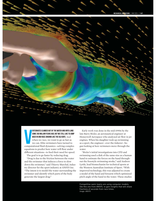### MECHANICAL ENGINEERING | MAY 2015 | P.41



V ertebrates climbed out of the water and onto land some 350 million years ago, but we still like to jump back in and race around like the old days. And when we race, we want to go as fast as we can. Elite swimmers have turned to computational fluid dynamics—solving complex equations to predict how water will flow under different situations—to feed their need for speed.

The goal is to go faster by reducing drag.

"Drag is due to the friction between the water and the swimmer that induces a force to slow down the swimmer," said Thierry Marchal, industry director for the sport industry at ANSYS Inc. "The intent is to model the water surrounding the swimmer and identify which parts of the body generate the largest drag."

Early work was done in the mid-1990s by the late Barry Bixler, an aeronautical engineer at Honeywell Aerospace who analyzed air flow in jet engines. When his daughter took up swimming as a sport, the engineer—ever the tinkerer—began looking at how swimmers move through the water.

"Bixler's initial investigations into CFD and swimming used a disk of the same size as a human hand to estimate the forces on the hand throughout the freestyle swimming stroke," said Andrew Lyttle, lead biomechanist for technical sports at the Western Australian Institute of Sport. "With improved technology, this was adjusted to create a model of the hand and forearm which optimized pitch angle of the hand in the water. These studies

Competitive swim teams are using computer models, like this one from ANSYS, to gain insights that will shave fractions of seconds from race times. *Image: ANSYS*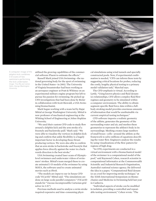

A computer image of the dolphin kick combines 3-D scans of two swimmers performing the kick underwater. *Image: Tina Ma and James Hahn, George Washington University*

utilized the growing capabilities of the commercial software Fluent to estimate the effects."

Russell Mark joined USA Swimming—the national governing body for the sport of swimming in the United States—in 2002. The University of Virginia breaststroker had been working as an aerospace engineer at Pratt & Whitney on an experimental military engine program but left to pursue his passion for swimming. He picked up CFD investigations that had been done by Bixler in collaboration with Scott Riewald, a USA Swimming biomechanist.

Mark began working with a team led by Rajat Mittal at George Washington University. Mittal is now professor of mechanical engineering at the Whiting School of Engineering at Johns Hopkins University.

"We used their custom CFD code to study flow around a dolphin kick and the arm stroke of a freestyle and backstroke pull," Mark said. "We were able to visualize the vortices in dolphin kicking and confirm that ankle flexibility is a hugely important factor in developing those thrustproducing vortices. We were also able to confirm that an arm stroke in backstroke and freestyle that applies force directly against the water in a backwards direction is the best stroke."

USA Swimming created laser scans of Olympiclevel swimmers and underwater videos of swimmers' strokes. Mittal's team merged these to create animated 3-D models of the swimmer by using MAYA, the software used to create animated movies such as *Shrek*.

"The models are input to our in-house CFD code ViCar3D," Mittal said. "The simulations are done on large-scale parallel computers." (ViCar3D stands for "viscous incompressible Cartesian grid solver in 3-D.")

Previous methods used to analyze a swim stroke required expensive and time-consuming physical simulations using wind tunnels and specially constructed pools. Now, if experimental confirmation is needed, "CFD can inform these tests by suggesting critical locations for probes, reducing the costly, lengthy physical testing to a primary model validation task," Marchal says.

The CFD emphasis is virtual. According to Lyttle, "Using known physics and fluid dynamics relationships, CFD allows complex fluid flow regimes and geometry to be simulated within a computer environment. The ability to obtain segment-specific fluid force data within a fullbody stroking model provides enormous amounts of information that would be unobtainable via current empirical testing techniques."

CFD software imports a realistic geometry of the athlete, generates the geometry of the surrounding water and air, and meshes these geometries to represent the athlete's body in its surroundings. Meshing creates large numbers of small boxes—cells—around the athlete as the framework to solve millions of equations describing the water flow. Engineers analyze the results by using visualizations of the flow pattern for regions of high drag.

"In CFD, experiments are conducted in a virtual environment with a biomechanical model of the swimmer in a computational model of the pool," said Raymond Cohen, research scientist in computational informatics at the Commonwealth Scientific and Industrial Research Organisation, Australia's national science agency. He delivered the idea in a paper, "Computational fluid dynamics as a tool for improving stroke technique," at the XIIth International Symposium on Biomechanics and Medicine in Swimming held last year in Canberra.

"Individual aspects of stroke can be modified in isolation, providing a controlled and repeatable testing environment," Cohen wrote. "The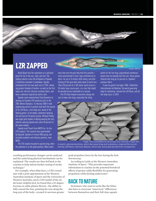

# LZR ZAPPED

Bondi Beach has the reputation as a laid back place for fun in the sun, sand, and surf. The Sydney suburb is also the birthplace of Speedo, a relentless innovator in swimwear. Speedo introduced the first non-wool suit in 1928—allowing greater freedom of motion—as well as the first nylon suit, the first chlorine-resistant fabric, and even a swimsuit inspired by shark's skin.

Speedo used computational fluid dynamics to develop its Fastskin FSII swimsuit prior to the 2004 Athens Olympics. In February 2008 it took engineering assist to another level with the launch of its LZR Racer, a full-body suit, ahead of the Beijing games. In ten weeks, swimmers wearing the suit had set 35 world records. Michael Phelps won eight gold medals in Beijing wearing the suit; athletes wearing Speedo won some 90 percent of the swim medals.

Speedo used Fluent from ANSYS Inc. for the CFD analysis. The research was spearheaded by Aqualab, Speedo's in-house R&D group, and included academic and industry partners, even NASA.

The CFD studies focused on passive drag, when the swimmer is in the glide position. When swimmers dive into the pool they hold this position arms outstretched in front, legs stretched out in back—for up to 15 meters after diving, and after kicking off the pool wall under water at each turn. That's 30 percent of a 100-meter sprint across a 50-meter long-course pool—in a race that might be decided by one-hundredth of a second.

The CFD data helped researchers design the suit to lower skin drag, especially the siting

points for the low-drag, polyurethane membrane panels that are bonded onto the suit. These panels reduced skin drag by 24 percent vs. Speedo's previous fabric.

*Image: ANSYS*

It was too good to be legal. FINA—Fédération Internationale de Natation, the world governing body for swimming—banned the LZR Racer, and all full-body suits, in 2010.



*Image: Trevor Sewell/Electron Microscope Unit, University of Cape Town*

A shark's dermal denticles, which decrease drag and turbulence, inspired the recordsetting LZR Racer swimsuit (above), which was eventually banned from competition.

resulting performance changes can be analyzed and the underlying physical mechanisms can be explained. The results are then fed back to the coaches to help inform further testing of stroke technique."

For example, when Matt Keys, a CFD consultant with a joint appointment at the Western Australian Institute of Sport and the University of Western Australia, used a CFD model of the underwater dolphin kick, he found that a 10-degree increase in ankle plantar flexion—the ability to fully extend the foot, pointing the toes along the long axis of the body—created 16 newtons greater

peak propulsive force by the feet during the kick downsweep.

According to Lyttle at the Western Australian Institute of Sport, "This provides important information to coaches on the potential beneficial effects of greater ankle flexibility for generating propulsion while kicking underwater."

### Back to Nature

Swimmers who want to swim like the fishes also have to overcome "outerwear" differences between themselves and their full-time aquatic